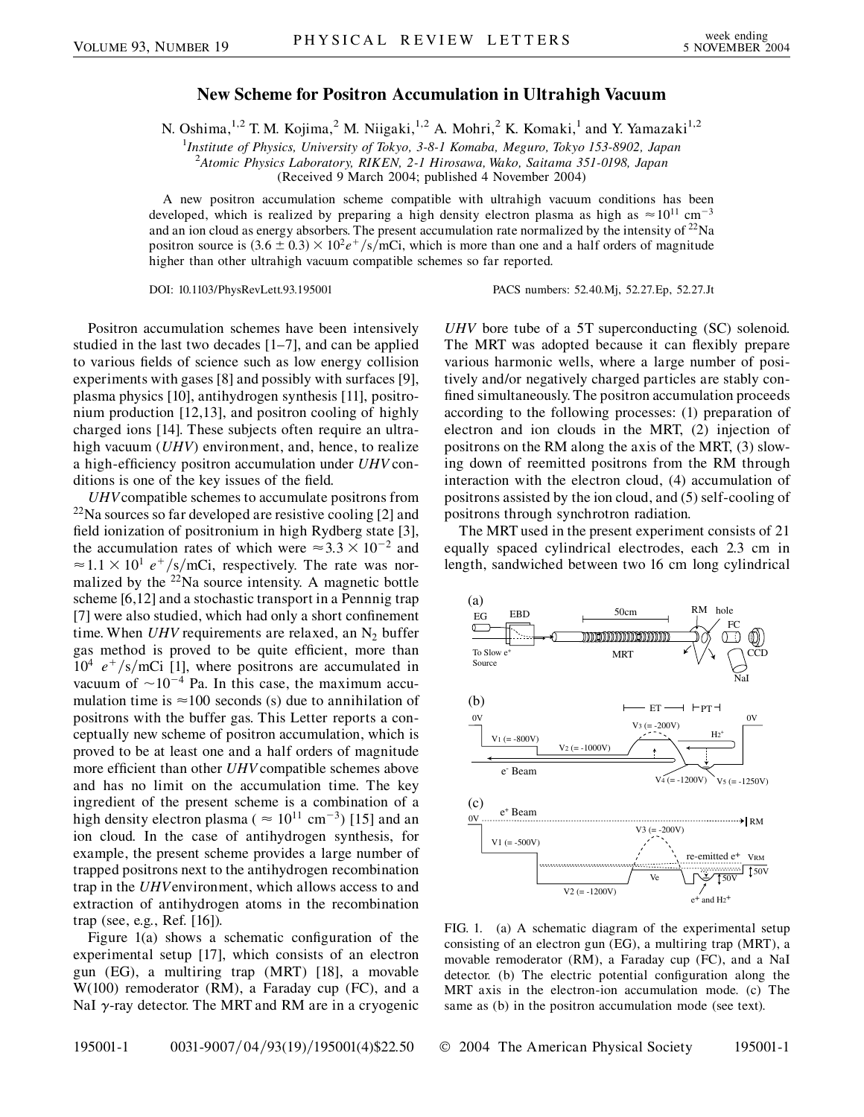## **New Scheme for Positron Accumulation in Ultrahigh Vacuum**

N. Oshima,<sup>1,2</sup> T. M. Kojima,<sup>2</sup> M. Niigaki,<sup>1,2</sup> A. Mohri,<sup>2</sup> K. Komaki,<sup>1</sup> and Y. Yamazaki<sup>1,2</sup>

1 *Institute of Physics, University of Tokyo, 3-8-1 Komaba, Meguro, Tokyo 153-8902, Japan* 2 *Atomic Physics Laboratory, RIKEN, 2-1 Hirosawa, Wako, Saitama 351-0198, Japan*

(Received 9 March 2004; published 4 November 2004)

A new positron accumulation scheme compatible with ultrahigh vacuum conditions has been developed, which is realized by preparing a high density electron plasma as high as  $\approx 10^{11}$  cm<sup>-3</sup> and an ion cloud as energy absorbers. The present accumulation rate normalized by the intensity of  $^{22}$ Na positron source is  $(3.6 \pm 0.3) \times 10^2 e^+/s/m$ Ci, which is more than one and a half orders of magnitude higher than other ultrahigh vacuum compatible schemes so far reported.

DOI: 10.1103/PhysRevLett.93.195001 PACS numbers: 52.40.Mj, 52.27.Ep, 52.27.Jt

Positron accumulation schemes have been intensively studied in the last two decades [1–7], and can be applied to various fields of science such as low energy collision experiments with gases [8] and possibly with surfaces [9], plasma physics [10], antihydrogen synthesis [11], positronium production [12,13], and positron cooling of highly charged ions [14]. These subjects often require an ultrahigh vacuum (*UHV*) environment, and, hence, to realize a high-efficiency positron accumulation under *UHV* conditions is one of the key issues of the field.

*UHV*compatible schemes to accumulate positrons from  $^{22}$ Na sources so far developed are resistive cooling [2] and field ionization of positronium in high Rydberg state [3], the accumulation rates of which were  $\approx 3.3 \times 10^{-2}$  and  $\approx 1.1 \times 10^{1} e^{+}/s/m$ Ci, respectively. The rate was normalized by the  $22$ Na source intensity. A magnetic bottle scheme [6,12] and a stochastic transport in a Pennnig trap [7] were also studied, which had only a short confinement time. When *UHV* requirements are relaxed, an  $N_2$  buffer gas method is proved to be quite efficient, more than  $10^4$   $e^+/s/m$ Ci [1], where positrons are accumulated in vacuum of  $\sim 10^{-4}$  Pa. In this case, the maximum accumulation time is  $\approx$ 100 seconds (s) due to annihilation of positrons with the buffer gas. This Letter reports a conceptually new scheme of positron accumulation, which is proved to be at least one and a half orders of magnitude more efficient than other *UHV* compatible schemes above and has no limit on the accumulation time. The key ingredient of the present scheme is a combination of a high density electron plasma ( $\approx 10^{11}$  cm<sup>-3</sup>) [15] and an ion cloud. In the case of antihydrogen synthesis, for example, the present scheme provides a large number of trapped positrons next to the antihydrogen recombination trap in the *UHV*environment, which allows access to and extraction of antihydrogen atoms in the recombination trap (see, e.g., Ref. [16]).

Figure 1(a) shows a schematic configuration of the experimental setup [17], which consists of an electron gun (EG), a multiring trap (MRT) [18], a movable W(100) remoderator (RM), a Faraday cup (FC), and a NaI  $\gamma$ -ray detector. The MRT and RM are in a cryogenic *UHV* bore tube of a 5T superconducting (SC) solenoid. The MRT was adopted because it can flexibly prepare various harmonic wells, where a large number of positively and/or negatively charged particles are stably confined simultaneously. The positron accumulation proceeds according to the following processes: (1) preparation of electron and ion clouds in the MRT, (2) injection of positrons on the RM along the axis of the MRT, (3) slowing down of reemitted positrons from the RM through interaction with the electron cloud, (4) accumulation of positrons assisted by the ion cloud, and (5) self-cooling of positrons through synchrotron radiation.

The MRT used in the present experiment consists of 21 equally spaced cylindrical electrodes, each 2.3 cm in length, sandwiched between two 16 cm long cylindrical



FIG. 1. (a) A schematic diagram of the experimental setup consisting of an electron gun (EG), a multiring trap (MRT), a movable remoderator (RM), a Faraday cup (FC), and a NaI detector. (b) The electric potential configuration along the MRT axis in the electron-ion accumulation mode. (c) The same as (b) in the positron accumulation mode (see text).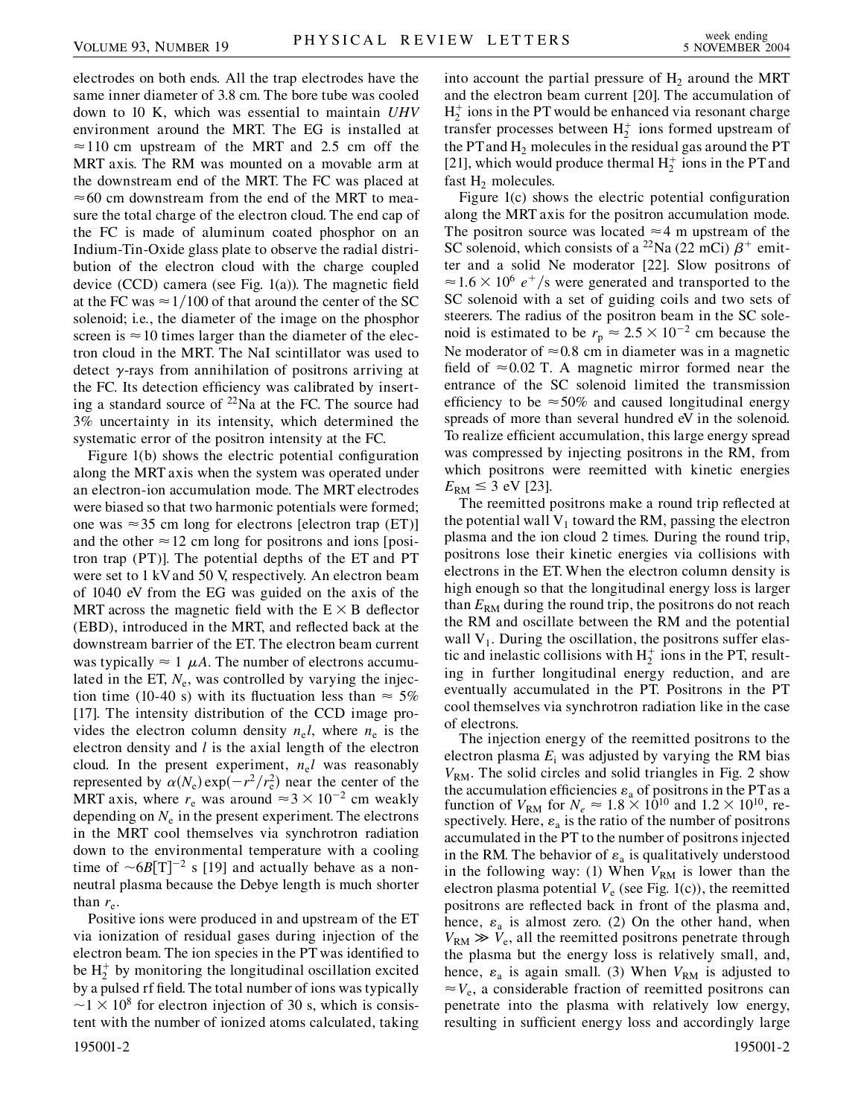electrodes on both ends. All the trap electrodes have the same inner diameter of 3.8 cm. The bore tube was cooled down to 10 K, which was essential to maintain *UHV* environment around the MRT. The EG is installed at  $\approx$  110 cm upstream of the MRT and 2.5 cm off the MRT axis. The RM was mounted on a movable arm at the downstream end of the MRT. The FC was placed at  $\approx$  60 cm downstream from the end of the MRT to measure the total charge of the electron cloud. The end cap of the FC is made of aluminum coated phosphor on an Indium-Tin-Oxide glass plate to observe the radial distribution of the electron cloud with the charge coupled device (CCD) camera (see Fig. 1(a)). The magnetic field at the FC was  $\approx$  1/100 of that around the center of the SC solenoid; i.e., the diameter of the image on the phosphor screen is  $\approx$  10 times larger than the diameter of the electron cloud in the MRT. The NaI scintillator was used to detect  $\gamma$ -rays from annihilation of positrons arriving at the FC. Its detection efficiency was calibrated by inserting a standard source of  $^{22}$ Na at the FC. The source had 3% uncertainty in its intensity, which determined the systematic error of the positron intensity at the FC.

Figure 1(b) shows the electric potential configuration along the MRT axis when the system was operated under an electron-ion accumulation mode. The MRT electrodes were biased so that two harmonic potentials were formed; one was  $\approx 35$  cm long for electrons [electron trap (ET)] and the other  $\approx$  12 cm long for positrons and ions [positron trap (PT)]. The potential depths of the ET and PT were set to 1 kVand 50 V, respectively. An electron beam of 1040 eV from the EG was guided on the axis of the MRT across the magnetic field with the  $E \times B$  deflector (EBD), introduced in the MRT, and reflected back at the downstream barrier of the ET. The electron beam current was typically  $\approx 1$   $\mu A$ . The number of electrons accumulated in the ET,  $N_e$ , was controlled by varying the injection time (10-40 s) with its fluctuation less than  $\approx$  5% [17]. The intensity distribution of the CCD image provides the electron column density  $n_e l$ , where  $n_e$  is the electron density and *l* is the axial length of the electron cloud. In the present experiment,  $n_e l$  was reasonably represented by  $\alpha(N_e) \exp(-r^2/r_e^2)$  near the center of the MRT axis, where  $r_e$  was around  $\approx 3 \times 10^{-2}$  cm weakly depending on  $N_e$  in the present experiment. The electrons in the MRT cool themselves via synchrotron radiation down to the environmental temperature with a cooling time of  $\sim 6B[T]^{-2}$  s [19] and actually behave as a nonneutral plasma because the Debye length is much shorter than  $r_e$ .

Positive ions were produced in and upstream of the ET via ionization of residual gases during injection of the electron beam. The ion species in the PT was identified to be  $H_2^+$  by monitoring the longitudinal oscillation excited by a pulsed rf field. The total number of ions was typically  $\sim$ 1  $\times$  10<sup>8</sup> for electron injection of 30 s, which is consistent with the number of ionized atoms calculated, taking 195001-2 195001-2

into account the partial pressure of  $H<sub>2</sub>$  around the MRT and the electron beam current [20]. The accumulation of  $H_2^+$  ions in the PT would be enhanced via resonant charge transfer processes between H <sup>2</sup> ions formed upstream of the PT and  $H_2$  molecules in the residual gas around the PT [21], which would produce thermal  $H_2^+$  ions in the PT and fast  $H_2$  molecules.

Figure 1(c) shows the electric potential configuration along the MRT axis for the positron accumulation mode. The positron source was located  $\approx$  4 m upstream of the SC solenoid, which consists of a <sup>22</sup>Na (22 mCi)  $\beta$ <sup>+</sup> emitter and a solid Ne moderator [22]. Slow positrons of  $\approx 1.6 \times 10^6$  e<sup>+</sup>/s were generated and transported to the SC solenoid with a set of guiding coils and two sets of steerers. The radius of the positron beam in the SC solenoid is estimated to be  $r_p \approx 2.5 \times 10^{-2}$  cm because the Ne moderator of  $\approx 0.8$  cm in diameter was in a magnetic field of  $\approx 0.02$  T. A magnetic mirror formed near the entrance of the SC solenoid limited the transmission efficiency to be  $\approx 50\%$  and caused longitudinal energy spreads of more than several hundred eV in the solenoid. To realize efficient accumulation, this large energy spread was compressed by injecting positrons in the RM, from which positrons were reemitted with kinetic energies  $E_{\rm RM} \leq 3$  eV [23].

The reemitted positrons make a round trip reflected at the potential wall  $V_1$  toward the RM, passing the electron plasma and the ion cloud 2 times. During the round trip, positrons lose their kinetic energies via collisions with electrons in the ET. When the electron column density is high enough so that the longitudinal energy loss is larger than  $E_{RM}$  during the round trip, the positrons do not reach the RM and oscillate between the RM and the potential wall  $V_1$ . During the oscillation, the positrons suffer elastic and inelastic collisions with  $H_2^+$  ions in the PT, resulting in further longitudinal energy reduction, and are eventually accumulated in the PT. Positrons in the PT cool themselves via synchrotron radiation like in the case of electrons.

The injection energy of the reemitted positrons to the electron plasma  $E_i$  was adjusted by varying the RM bias  $V_{\text{RM}}$ . The solid circles and solid triangles in Fig. 2 show the accumulation efficiencies  $\varepsilon_a$  of positrons in the PT as a function of  $V_{\text{RM}}$  for  $N_e \approx 1.8 \times 10^{10}$  and  $1.2 \times 10^{10}$ , respectively. Here,  $\varepsilon_a$  is the ratio of the number of positrons accumulated in the PT to the number of positrons injected in the RM. The behavior of  $\varepsilon_a$  is qualitatively understood in the following way: (1) When  $V_{RM}$  is lower than the electron plasma potential  $V_e$  (see Fig. 1(c)), the reemitted positrons are reflected back in front of the plasma and, hence,  $\varepsilon_a$  is almost zero. (2) On the other hand, when  $V_{\text{RM}} \gg V_{\text{e}}$ , all the reemitted positrons penetrate through the plasma but the energy loss is relatively small, and, hence,  $\varepsilon_a$  is again small. (3) When  $V_{RM}$  is adjusted to  $\approx V_e$ , a considerable fraction of reemitted positrons can penetrate into the plasma with relatively low energy, resulting in sufficient energy loss and accordingly large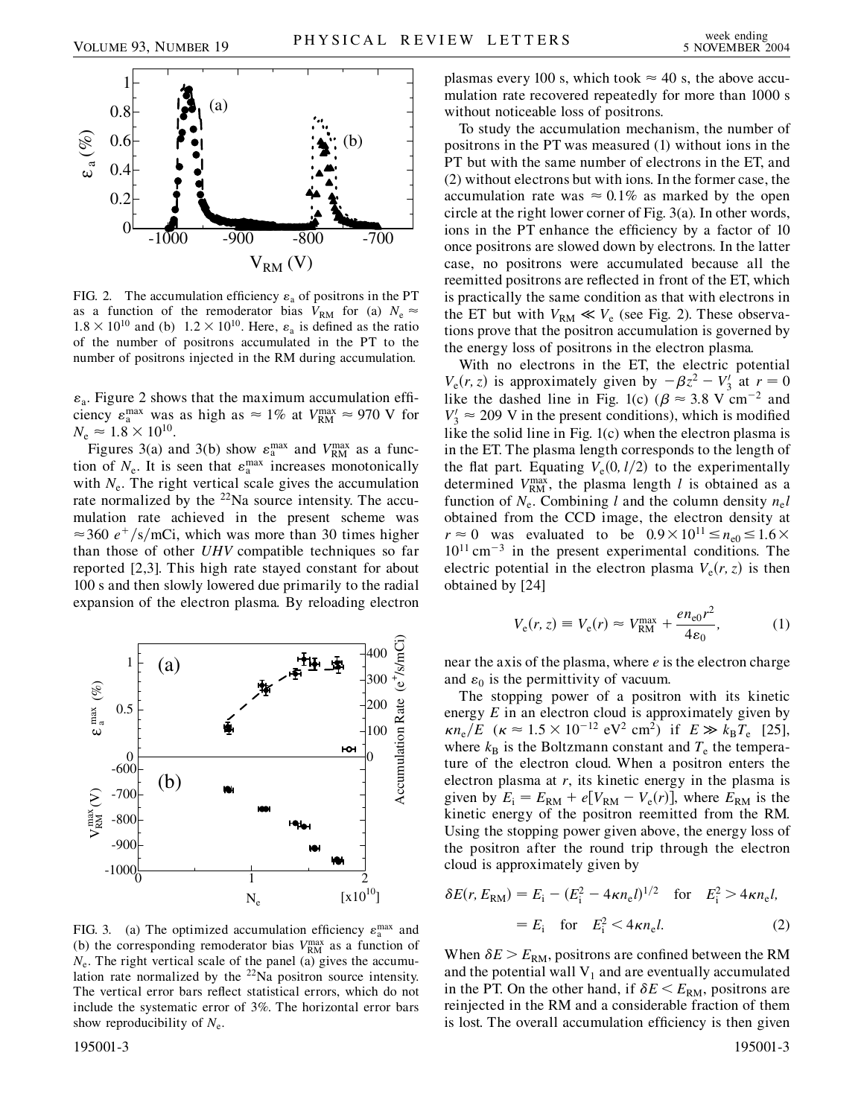

FIG. 2. The accumulation efficiency  $\varepsilon_a$  of positrons in the PT as a function of the remoderator bias  $V_{RM}$  for (a)  $N_e \approx$  $1.8 \times 10^{10}$  and (b)  $1.2 \times 10^{10}$ . Here,  $\varepsilon_a$  is defined as the ratio of the number of positrons accumulated in the PT to the number of positrons injected in the RM during accumulation.

 $\varepsilon_a$ . Figure 2 shows that the maximum accumulation efficiency  $\varepsilon_n^{\text{max}}$  was as high as  $\approx 1\%$  at  $V_{\text{RM}}^{\text{max}} \approx 970$  V for  $N_e \approx 1.8 \times 10^{10}$ .

Figures 3(a) and 3(b) show  $\varepsilon_n^{\max}$  and  $V_{\text{RM}}^{\max}$  as a function of  $N_e$ . It is seen that  $\varepsilon_n^{\max}$  increases monotonically with  $N_e$ . The right vertical scale gives the accumulation rate normalized by the  $22$ Na source intensity. The accumulation rate achieved in the present scheme was  $\approx$  360  $e^{+}/s/m$ Ci, which was more than 30 times higher than those of other *UHV* compatible techniques so far reported [2,3]. This high rate stayed constant for about 100 s and then slowly lowered due primarily to the radial expansion of the electron plasma. By reloading electron



FIG. 3. (a) The optimized accumulation efficiency  $\varepsilon_n^{\max}$  and (b) the corresponding remoderator bias  $V_{\text{RM}}^{\text{max}}$  as a function of  $N_e$ . The right vertical scale of the panel (a) gives the accumulation rate normalized by the 22Na positron source intensity. The vertical error bars reflect statistical errors, which do not include the systematic error of 3%. The horizontal error bars show reproducibility of  $N_e$ .

plasmas every 100 s, which took  $\approx$  40 s, the above accumulation rate recovered repeatedly for more than 1000 s without noticeable loss of positrons.

To study the accumulation mechanism, the number of positrons in the PT was measured (1) without ions in the PT but with the same number of electrons in the ET, and (2) without electrons but with ions. In the former case, the accumulation rate was  $\approx 0.1\%$  as marked by the open circle at the right lower corner of Fig. 3(a). In other words, ions in the PT enhance the efficiency by a factor of 10 once positrons are slowed down by electrons. In the latter case, no positrons were accumulated because all the reemitted positrons are reflected in front of the ET, which is practically the same condition as that with electrons in the ET but with  $V_{\text{RM}} \ll V_e$  (see Fig. 2). These observations prove that the positron accumulation is governed by the energy loss of positrons in the electron plasma.

With no electrons in the ET, the electric potential  $V_e(r, z)$  is approximately given by  $-\beta z^2 - V_3$  at  $r = 0$ like the dashed line in Fig. 1(c) ( $\beta \approx 3.8$  V cm<sup>-2</sup> and  $V_3' \approx 209$  V in the present conditions), which is modified like the solid line in Fig. 1(c) when the electron plasma is in the ET. The plasma length corresponds to the length of the flat part. Equating  $V_e(0, l/2)$  to the experimentally determined  $V_{\text{RM}}^{\text{max}}$ , the plasma length *l* is obtained as a function of  $N_e$ . Combining *l* and the column density  $n_e l$ obtained from the CCD image, the electron density at  $r \approx 0$  was evaluated to be  $0.9 \times 10^{11} \le n_{\text{e0}} \le 1.6 \times$  $10^{11}$  cm<sup>-3</sup> in the present experimental conditions. The electric potential in the electron plasma  $V_e(r, z)$  is then obtained by [24]

$$
V_{\rm e}(r, z) \equiv V_{\rm e}(r) \approx V_{\rm RM}^{\rm max} + \frac{e n_{\rm e0} r^2}{4\varepsilon_0},\tag{1}
$$

near the axis of the plasma, where *e* is the electron charge and  $\varepsilon_0$  is the permittivity of vacuum.

The stopping power of a positron with its kinetic energy *E* in an electron cloud is approximately given by  $\kappa n_e/E \ (\kappa \approx 1.5 \times 10^{-12} \text{ eV}^2 \text{ cm}^2) \text{ if } E \gg k_B T_e \text{ [25]},$ where  $k_B$  is the Boltzmann constant and  $T_e$  the temperature of the electron cloud. When a positron enters the electron plasma at *r*, its kinetic energy in the plasma is given by  $E_i = E_{\text{RM}} + e[V_{\text{RM}} - V_e(r)]$ , where  $E_{\text{RM}}$  is the kinetic energy of the positron reemitted from the RM. Using the stopping power given above, the energy loss of the positron after the round trip through the electron cloud is approximately given by

$$
\delta E(r, E_{\rm RM}) = E_{\rm i} - (E_{\rm i}^2 - 4\kappa n_{\rm e}l)^{1/2} \quad \text{for} \quad E_{\rm i}^2 > 4\kappa n_{\rm e}l,
$$
  
=  $E_{\rm i} \quad \text{for} \quad E_{\rm i}^2 < 4\kappa n_{\rm e}l.$  (2)

When  $\delta E > E_{\text{RM}}$ , positrons are confined between the RM and the potential wall  $V_1$  and are eventually accumulated in the PT. On the other hand, if  $\delta E \le E_{\rm RM}$ , positrons are reinjected in the RM and a considerable fraction of them is lost. The overall accumulation efficiency is then given